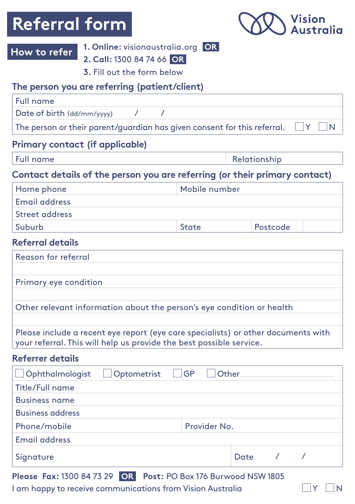### **Referral form**



### **How to refer**

**1. Online:** visionaustralia.org **OR**

|  | 2. Call: 1300 84 74 66 OR |  |
|--|---------------------------|--|
|  |                           |  |

**3.** Fill out the form below

### **The person you are referring (patient/client)**

| Full name |
|-----------|
|-----------|

Date of birth (dd/mm/yyyy) / /

The person or their parent/guardian has given consent for this referral.  $\Box Y \Box N$ 

### **Primary contact (if applicable)**

| <b>Full name</b> | Relationship |
|------------------|--------------|
|                  |              |

### **Contact details of the person you are referring (or their primary contact)**

| Home phone     | Mobile number |          |  |
|----------------|---------------|----------|--|
| Email address  |               |          |  |
| Street address |               |          |  |
| Suburb         | <b>State</b>  | Postcode |  |

### **Referral details**

Reason for referral

Primary eye condition

Other relevant information about the person's eye condition or health

Please include a recent eye report (eye care specialists) or other documents with your referral. This will help us provide the best possible service.

#### **Referrer details**

| $\Box$ Ophthalmologist  |  |              |      |  |  |
|-------------------------|--|--------------|------|--|--|
| Title/Full name         |  |              |      |  |  |
| <b>Business name</b>    |  |              |      |  |  |
| <b>Business address</b> |  |              |      |  |  |
| Phone/mobile            |  | Provider No. |      |  |  |
| Email address           |  |              |      |  |  |
| Signature               |  |              | Date |  |  |
|                         |  |              |      |  |  |

**Please Fax:** 1300 84 73 29 **Post:** PO Box 176 Burwood NSW 1805 **OR**

I am happy to receive communications from Vision Australia  $\Box$  Y  $\Box$  N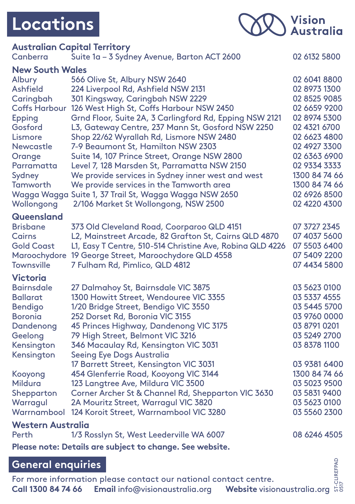## **Locations**



| <b>Australian Capital Territory</b>                                                                                                      |                                                                                                                                                                                                                                                                                                                                                                                                                                                                                                                                                                                                                                                                         |                                                                                                                                                                                                                                |  |  |  |
|------------------------------------------------------------------------------------------------------------------------------------------|-------------------------------------------------------------------------------------------------------------------------------------------------------------------------------------------------------------------------------------------------------------------------------------------------------------------------------------------------------------------------------------------------------------------------------------------------------------------------------------------------------------------------------------------------------------------------------------------------------------------------------------------------------------------------|--------------------------------------------------------------------------------------------------------------------------------------------------------------------------------------------------------------------------------|--|--|--|
| Canberra                                                                                                                                 | Suite 1a - 3 Sydney Avenue, Barton ACT 2600                                                                                                                                                                                                                                                                                                                                                                                                                                                                                                                                                                                                                             | 02 6132 5800                                                                                                                                                                                                                   |  |  |  |
| <b>New South Wales</b>                                                                                                                   |                                                                                                                                                                                                                                                                                                                                                                                                                                                                                                                                                                                                                                                                         |                                                                                                                                                                                                                                |  |  |  |
| Albury<br>Ashfield<br>Caringbah<br>Epping<br>Gosford<br>Lismore<br>Newcastle<br>Orange<br>Parramatta<br>Sydney<br>Tamworth<br>Wollongong | 566 Olive St, Albury NSW 2640<br>224 Liverpool Rd, Ashfield NSW 2131<br>301 Kingsway, Caringbah NSW 2229<br>Coffs Harbour 126 West High St, Coffs Harbour NSW 2450<br>Grnd Floor, Suite 2A, 3 Carlingford Rd, Epping NSW 2121<br>L3, Gateway Centre, 237 Mann St, Gosford NSW 2250<br>Shop 22/62 Wyrallah Rd, Lismore NSW 2480<br>7-9 Beaumont St, Hamilton NSW 2303<br>Suite 14, 107 Prince Street, Orange NSW 2800<br>Level 7, 128 Marsden St, Parramatta NSW 2150<br>We provide services in Sydney inner west and west<br>We provide services in the Tamworth area<br>Wagga Wagga Suite 1, 37 Trail St, Wagga Wagga NSW 2650<br>2/106 Market St Wollongong, NSW 2500 | 02 6041 8800<br>02 8973 1300<br>02 8525 9085<br>02 6659 9200<br>02 8974 5300<br>02 4321 6700<br>02 6623 4800<br>02 4927 3300<br>02 6363 6900<br>02 9334 3333<br>1300 84 74 66<br>1300 84 74 66<br>02 6926 8500<br>02 4220 4300 |  |  |  |
| <b>Queensland</b>                                                                                                                        |                                                                                                                                                                                                                                                                                                                                                                                                                                                                                                                                                                                                                                                                         |                                                                                                                                                                                                                                |  |  |  |
| <b>Brisbane</b><br>Cairns<br><b>Gold Coast</b><br><b>Townsville</b>                                                                      | 373 Old Cleveland Road, Coorparoo QLD 4151<br>L2, Mainstreet Arcade, 82 Grafton St, Cairns QLD 4870<br>L1, Easy T Centre, 510-514 Christine Ave, Robina QLD 4226<br>Maroochydore 19 George Street, Maroochydore QLD 4558<br>7 Fulham Rd, Pimlico, QLD 4812                                                                                                                                                                                                                                                                                                                                                                                                              | 07 3727 2345<br>07 4037 5600<br>07 5503 6400<br>07 5409 2200<br>07 4434 5800                                                                                                                                                   |  |  |  |
| <b>Victoria</b><br>Bairnsdale<br>Ballarat<br><b>Bendigo</b><br><b>Boronia</b><br>Dandenong<br>Geelong                                    | 27 Dalmahoy St, Bairnsdale VIC 3875<br>1300 Howitt Street, Wendouree VIC 3355<br>1/20 Bridge Street, Bendigo VIC 3550<br>252 Dorset Rd, Boronia VIC 3155<br>45 Princes Highway, Dandenong VIC 3175<br>79 High Street, Belmont VIC 3216                                                                                                                                                                                                                                                                                                                                                                                                                                  | 03 5623 0100<br>03 5337 4555<br>03 5445 5700<br>03 9760 0000<br>03 8791 0201<br>03 5249 2700                                                                                                                                   |  |  |  |
| Kensington<br>Kensington                                                                                                                 | 346 Macaulay Rd, Kensington VIC 3031<br>Seeing Eye Dogs Australia                                                                                                                                                                                                                                                                                                                                                                                                                                                                                                                                                                                                       | 03 8378 1100                                                                                                                                                                                                                   |  |  |  |
| Kooyong<br>Mildura<br>Shepparton<br>Warragul                                                                                             | 17 Barrett Street, Kensington VIC 3031<br>454 Glenferrie Road, Kooyong VIC 3144<br>123 Langtree Ave, Mildura VIC 3500<br>Corner Archer St & Channel Rd, Shepparton VIC 3630<br>2A Mouritz Street, Warragul VIC 3820<br>Warrnambool 124 Koroit Street, Warrnambool VIC 3280                                                                                                                                                                                                                                                                                                                                                                                              | 03 9381 6400<br>1300 84 74 66<br>03 5023 9500<br>03 5831 9400<br>03 5623 0100<br>03 5560 2300                                                                                                                                  |  |  |  |
| <b>Western Australia</b><br>Perth                                                                                                        | 1/3 Rosslyn St, West Leederville WA 6007                                                                                                                                                                                                                                                                                                                                                                                                                                                                                                                                                                                                                                | 08 6246 4505                                                                                                                                                                                                                   |  |  |  |
| Please note: Details are subject to change. See website.                                                                                 |                                                                                                                                                                                                                                                                                                                                                                                                                                                                                                                                                                                                                                                                         |                                                                                                                                                                                                                                |  |  |  |

### **General enquiries**

For more information please contact our national contact centre. **Call 1300 84 74 66 Email** info@visionaustralia.org Website visionaustralia.org ST-CLIREFPAD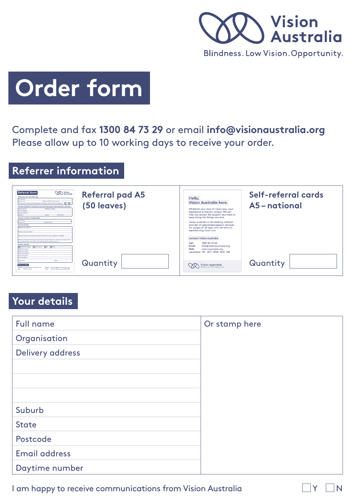

# **Order form**

Complete and fax **1300 84 73 29** or email **info@visionaustralia.org**  Please allow up to 10 working days to receive your order.

### **Referrer information**

| <b>VIA</b> Yosten<br><b>Referral form</b><br><b>Referral pad A5</b><br>The genuon you are referring<br><b>Pull nome</b><br>Date of birth (differentiated) / / /<br><b>Engineering</b><br>The person or their parent/ourselves has alsers paramet for this referral. Or City<br>(50 leaves)<br>Centert details of the person you are referring for their primary center.<br>Mobile country<br><b>Hame share</b><br><b>Expert and depart-</b><br><b>Street address</b><br><b>State</b><br>Pentrade<br><b>Release contact (if analizable)</b><br><b>Built account</b><br><b>Baltimore</b><br><b>County</b> and<br><b>Barbarond Awarding</b><br><b>Research for referent</b><br>Primary are condition<br>Other relevant information about the person's eve condition or health | Self-referral cards<br>Hello.<br>Vision Australia here.<br>A5-national<br>Whatever your level of vision loss, your<br>experience is entirely unique. We can<br>help you access the support you need to<br>keep doing the things you love.<br>Vision Australia is the leading national<br>provider of specialised support services<br>for people of all ages who are blind or<br>experiencing vision loss.<br><b>Contact Vision Australia</b> |
|----------------------------------------------------------------------------------------------------------------------------------------------------------------------------------------------------------------------------------------------------------------------------------------------------------------------------------------------------------------------------------------------------------------------------------------------------------------------------------------------------------------------------------------------------------------------------------------------------------------------------------------------------------------------------------------------------------------------------------------------------------------------------|----------------------------------------------------------------------------------------------------------------------------------------------------------------------------------------------------------------------------------------------------------------------------------------------------------------------------------------------------------------------------------------------------------------------------------------------|
| Please include a recent eye report few care commission) or other decuments with<br>one referred. This will help us provide the level possible service.<br><b>Referrer details</b><br>Doctorships Document Day Dates<br><b><i><u><u><b>Distant College Comments</b></u></u></i></b><br><b>Business Associate</b><br><b>Business address</b><br><b><i><u>Surant Woods De</u></i></b><br><b>Deal address</b><br>Date: / /<br>Signature<br>Quantity<br><b>How to refer</b><br><b>Email:</b> referrabilistions at raising<br>Online vicionsustrate analysterate<br><b>Base: 1980 But We Will</b><br>Roof - Britain 135 Bennann Miller and                                                                                                                                       | 1300 84 74 66<br>Call<br><b>Email</b><br>info@visionaustralia.org<br>Web<br>visionaustralia.org<br>Locations VIC ACT NSW QLD WA<br>Quantity<br>Vision Australia                                                                                                                                                                                                                                                                              |

### **Your details**

| <b>Full name</b>     | Or stamp here |
|----------------------|---------------|
| Organisation         |               |
| Delivery address     |               |
|                      |               |
|                      |               |
|                      |               |
| Suburb               |               |
| <b>State</b>         |               |
| Postcode             |               |
| <b>Email address</b> |               |
| Daytime number       |               |

I am happy to receive communications from Vision Australia  $\Box$  Y  $\Box$  N